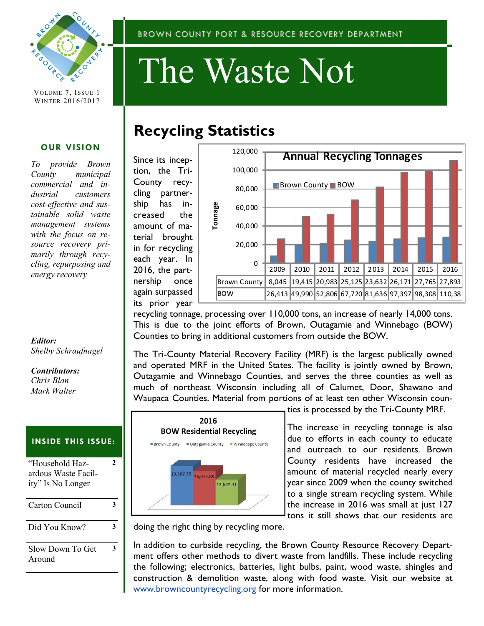

VOLUME 7, ISSUE 1 WINTER 2016/2017

#### **OUR VISION**

*To provide Brown County municipal commercial and industrial customers cost-effective and sustainable solid waste management systems with the focus on resource recovery primarily through recycling, repurposing and energy recovery*

#### *Editor: Shelby Schraufnagel*

#### *Contributors:*

*Chris Blan Mark Walter*

### **INSIDE THIS ISSUE:**

| "Household Haz-<br>ardous Waste Facil-<br>ity" Is No Longer |  |
|-------------------------------------------------------------|--|
| Carton Council                                              |  |
| Did You Know?                                               |  |
| Slow Down To Get<br>Around                                  |  |

# The Waste Not

## **Recycling Statistics**

Since its inception, the Tri-County recycling partnership has increased the amount of material brought in for recycling each year. In 2016, the partnership once again surpassed its prior year



recycling tonnage, processing over 110,000 tons, an increase of nearly 14,000 tons. This is due to the joint efforts of Brown, Outagamie and Winnebago (BOW) Counties to bring in additional customers from outside the BOW.

The Tri-County Material Recovery Facility (MRF) is the largest publically owned and operated MRF in the United States. The facility is jointly owned by Brown, Outagamie and Winnebago Counties, and serves the three counties as well as much of northeast Wisconsin including all of Calumet, Door, Shawano and Waupaca Counties. Material from portions of at least ten other Wisconsin coun-



ties is processed by the Tri-County MRF.

The increase in recycling tonnage is also due to efforts in each county to educate and outreach to our residents. Brown County residents have increased the amount of material recycled nearly every year since 2009 when the county switched to a single stream recycling system. While the increase in 2016 was small at just 127 tons it still shows that our residents are

doing the right thing by recycling more.

In addition to curbside recycling, the Brown County Resource Recovery Department offers other methods to divert waste from landfills. These include recycling the following; electronics, batteries, light bulbs, paint, wood waste, shingles and construction & demolition waste, along with food waste. Visit our website at www.browncountyrecycling.org for more information.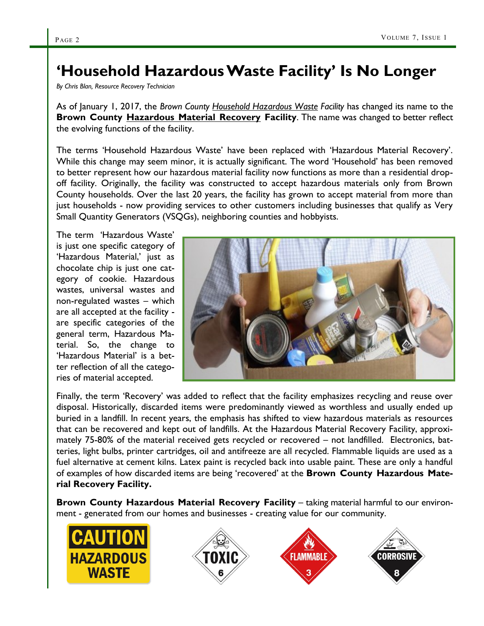### **'Household Hazardous Waste Facility' Is No Longer**

*By Chris Blan, Resource Recovery Technician*

As of January 1, 2017, the *Brown County Household Hazardous Waste Facility* has changed its name to the **Brown County Hazardous Material Recovery Facility.** The name was changed to better reflect the evolving functions of the facility.

The terms 'Household Hazardous Waste' have been replaced with 'Hazardous Material Recovery'. While this change may seem minor, it is actually significant. The word 'Household' has been removed to better represent how our hazardous material facility now functions as more than a residential dropoff facility. Originally, the facility was constructed to accept hazardous materials only from Brown County households. Over the last 20 years, the facility has grown to accept material from more than just households - now providing services to other customers including businesses that qualify as Very Small Quantity Generators (VSQGs), neighboring counties and hobbyists.

The term 'Hazardous Waste' is just one specific category of 'Hazardous Material,' just as chocolate chip is just one category of cookie. Hazardous wastes, universal wastes and non-regulated wastes – which are all accepted at the facility are specific categories of the general term, Hazardous Material. So, the change to 'Hazardous Material' is a better reflection of all the categories of material accepted.



Finally, the term 'Recovery' was added to reflect that the facility emphasizes recycling and reuse over disposal. Historically, discarded items were predominantly viewed as worthless and usually ended up buried in a landfill. In recent years, the emphasis has shifted to view hazardous materials as resources that can be recovered and kept out of landfills. At the Hazardous Material Recovery Facility, approximately 75-80% of the material received gets recycled or recovered – not landfilled. Electronics, batteries, light bulbs, printer cartridges, oil and antifreeze are all recycled. Flammable liquids are used as a fuel alternative at cement kilns. Latex paint is recycled back into usable paint. These are only a handful of examples of how discarded items are being 'recovered' at the **Brown County Hazardous Material Recovery Facility.**

**Brown County Hazardous Material Recovery Facility** – taking material harmful to our environment - generated from our homes and businesses - creating value for our community.

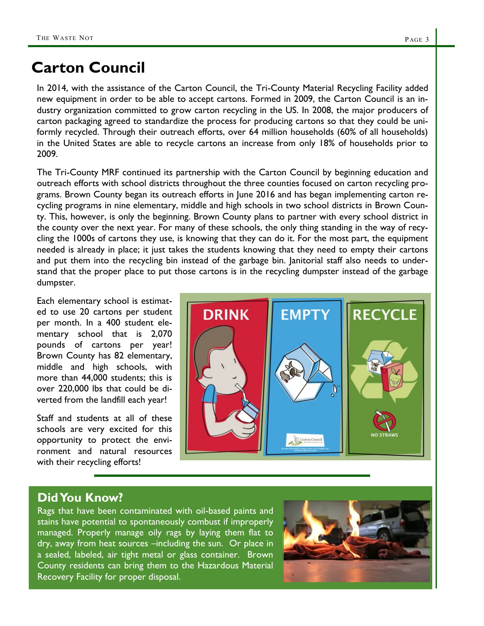### **Carton Council**

In 2014, with the assistance of the Carton Council, the Tri-County Material Recycling Facility added new equipment in order to be able to accept cartons. Formed in 2009, the Carton Council is an industry organization committed to grow carton recycling in the US. In 2008, the major producers of carton packaging agreed to standardize the process for producing cartons so that they could be uniformly recycled. Through their outreach efforts, over 64 million households (60% of all households) in the United States are able to recycle cartons an increase from only 18% of households prior to 2009.

The Tri-County MRF continued its partnership with the Carton Council by beginning education and outreach efforts with school districts throughout the three counties focused on carton recycling programs. Brown County began its outreach efforts in June 2016 and has began implementing carton recycling programs in nine elementary, middle and high schools in two school districts in Brown County. This, however, is only the beginning. Brown County plans to partner with every school district in the county over the next year. For many of these schools, the only thing standing in the way of recycling the 1000s of cartons they use, is knowing that they can do it. For the most part, the equipment needed is already in place; it just takes the students knowing that they need to empty their cartons and put them into the recycling bin instead of the garbage bin. Janitorial staff also needs to understand that the proper place to put those cartons is in the recycling dumpster instead of the garbage dumpster.

Each elementary school is estimated to use 20 cartons per student per month. In a 400 student elementary school that is 2,070 pounds of cartons per year! Brown County has 82 elementary, middle and high schools, with more than 44,000 students; this is over 220,000 lbs that could be diverted from the landfill each year!

Staff and students at all of these schools are very excited for this opportunity to protect the environment and natural resources with their recycling efforts!



### **Did You Know?**

Rags that have been contaminated with oil-based paints and stains have potential to spontaneously combust if improperly managed. Properly manage oily rags by laying them flat to dry, away from heat sources –including the sun. Or place in a sealed, labeled, air tight metal or glass container. Brown County residents can bring them to the Hazardous Material Recovery Facility for proper disposal.